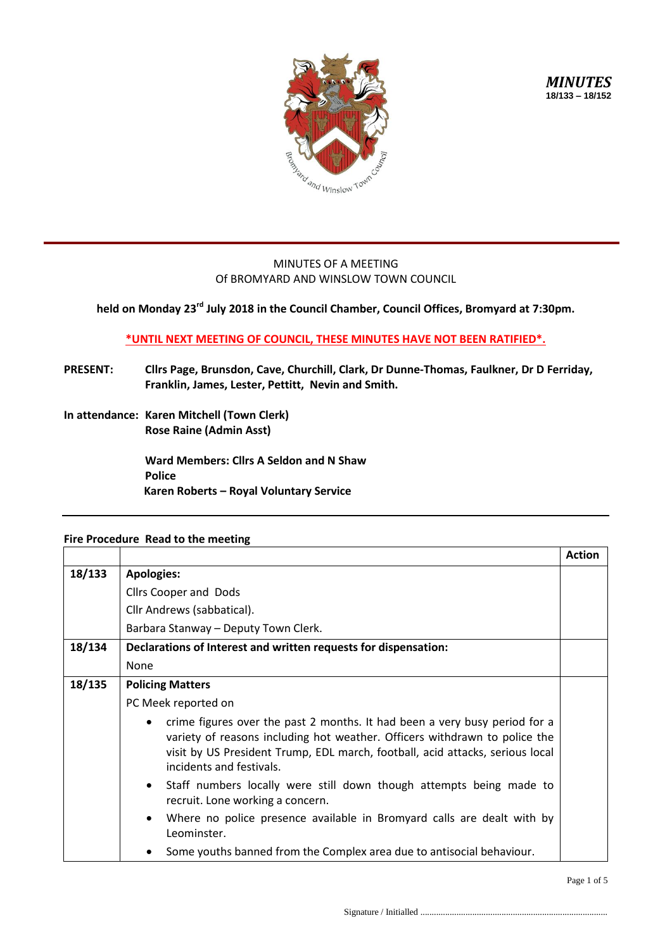

## MINUTES OF A MEETING Of BROMYARD AND WINSLOW TOWN COUNCIL

## **held on Monday 23 rd July 2018 in the Council Chamber, Council Offices, Bromyard at 7:30pm.**

## **\*UNTIL NEXT MEETING OF COUNCIL, THESE MINUTES HAVE NOT BEEN RATIFIED\*.**

- **PRESENT: Cllrs Page, Brunsdon, Cave, Churchill, Clark, Dr Dunne-Thomas, Faulkner, Dr D Ferriday, Franklin, James, Lester, Pettitt, Nevin and Smith.**
- **In attendance: Karen Mitchell (Town Clerk) Rose Raine (Admin Asst)**

**Ward Members: Cllrs A Seldon and N Shaw Police Karen Roberts – Royal Voluntary Service**

## **Fire Procedure Read to the meeting**

|        |                                                                                                                                                                                                                                                                                    | <b>Action</b> |
|--------|------------------------------------------------------------------------------------------------------------------------------------------------------------------------------------------------------------------------------------------------------------------------------------|---------------|
| 18/133 | <b>Apologies:</b>                                                                                                                                                                                                                                                                  |               |
|        | <b>Cllrs Cooper and Dods</b>                                                                                                                                                                                                                                                       |               |
|        | Cllr Andrews (sabbatical).                                                                                                                                                                                                                                                         |               |
|        | Barbara Stanway - Deputy Town Clerk.                                                                                                                                                                                                                                               |               |
| 18/134 | Declarations of Interest and written requests for dispensation:                                                                                                                                                                                                                    |               |
|        | None                                                                                                                                                                                                                                                                               |               |
| 18/135 | <b>Policing Matters</b>                                                                                                                                                                                                                                                            |               |
|        | PC Meek reported on                                                                                                                                                                                                                                                                |               |
|        | crime figures over the past 2 months. It had been a very busy period for a<br>$\bullet$<br>variety of reasons including hot weather. Officers withdrawn to police the<br>visit by US President Trump, EDL march, football, acid attacks, serious local<br>incidents and festivals. |               |
|        | Staff numbers locally were still down though attempts being made to<br>$\bullet$<br>recruit. Lone working a concern.                                                                                                                                                               |               |
|        | Where no police presence available in Bromyard calls are dealt with by<br>$\bullet$<br>Leominster.                                                                                                                                                                                 |               |
|        | Some youths banned from the Complex area due to antisocial behaviour.                                                                                                                                                                                                              |               |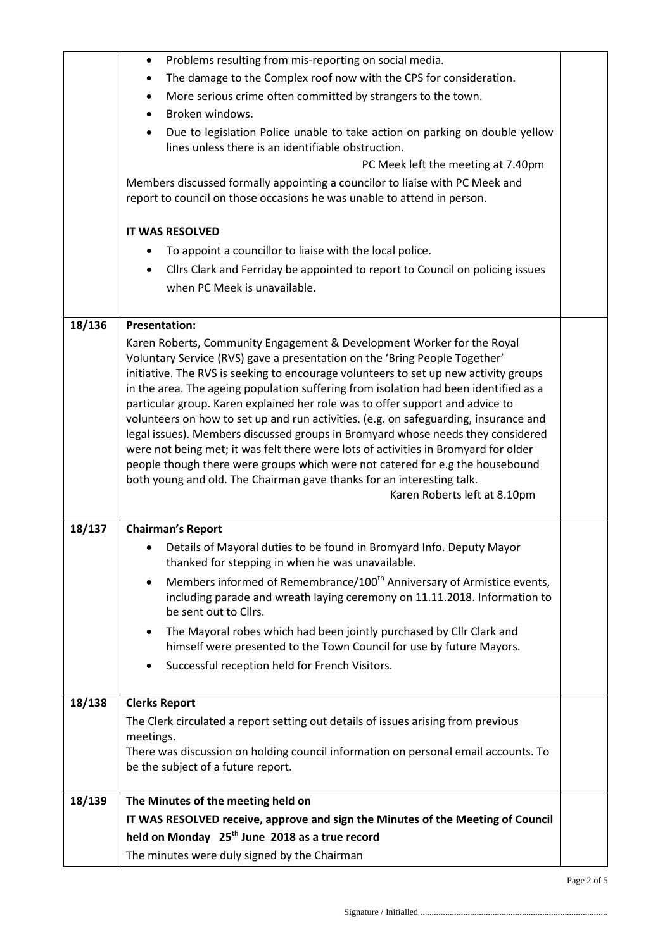|        | Problems resulting from mis-reporting on social media.<br>$\bullet$                                                                                                                                                                                                                                                                                                                                                                                                                                                                                                                                                                                                                                                                                                                                                                                                                                                                                                                                                                                                                                                                                                                                                                   |  |
|--------|---------------------------------------------------------------------------------------------------------------------------------------------------------------------------------------------------------------------------------------------------------------------------------------------------------------------------------------------------------------------------------------------------------------------------------------------------------------------------------------------------------------------------------------------------------------------------------------------------------------------------------------------------------------------------------------------------------------------------------------------------------------------------------------------------------------------------------------------------------------------------------------------------------------------------------------------------------------------------------------------------------------------------------------------------------------------------------------------------------------------------------------------------------------------------------------------------------------------------------------|--|
|        | The damage to the Complex roof now with the CPS for consideration.<br>٠                                                                                                                                                                                                                                                                                                                                                                                                                                                                                                                                                                                                                                                                                                                                                                                                                                                                                                                                                                                                                                                                                                                                                               |  |
|        | More serious crime often committed by strangers to the town.                                                                                                                                                                                                                                                                                                                                                                                                                                                                                                                                                                                                                                                                                                                                                                                                                                                                                                                                                                                                                                                                                                                                                                          |  |
|        | Broken windows.                                                                                                                                                                                                                                                                                                                                                                                                                                                                                                                                                                                                                                                                                                                                                                                                                                                                                                                                                                                                                                                                                                                                                                                                                       |  |
|        | Due to legislation Police unable to take action on parking on double yellow<br>lines unless there is an identifiable obstruction.                                                                                                                                                                                                                                                                                                                                                                                                                                                                                                                                                                                                                                                                                                                                                                                                                                                                                                                                                                                                                                                                                                     |  |
|        | PC Meek left the meeting at 7.40pm                                                                                                                                                                                                                                                                                                                                                                                                                                                                                                                                                                                                                                                                                                                                                                                                                                                                                                                                                                                                                                                                                                                                                                                                    |  |
|        | Members discussed formally appointing a councilor to liaise with PC Meek and<br>report to council on those occasions he was unable to attend in person.                                                                                                                                                                                                                                                                                                                                                                                                                                                                                                                                                                                                                                                                                                                                                                                                                                                                                                                                                                                                                                                                               |  |
|        |                                                                                                                                                                                                                                                                                                                                                                                                                                                                                                                                                                                                                                                                                                                                                                                                                                                                                                                                                                                                                                                                                                                                                                                                                                       |  |
|        | <b>IT WAS RESOLVED</b>                                                                                                                                                                                                                                                                                                                                                                                                                                                                                                                                                                                                                                                                                                                                                                                                                                                                                                                                                                                                                                                                                                                                                                                                                |  |
|        | To appoint a councillor to liaise with the local police.                                                                                                                                                                                                                                                                                                                                                                                                                                                                                                                                                                                                                                                                                                                                                                                                                                                                                                                                                                                                                                                                                                                                                                              |  |
|        | Cllrs Clark and Ferriday be appointed to report to Council on policing issues                                                                                                                                                                                                                                                                                                                                                                                                                                                                                                                                                                                                                                                                                                                                                                                                                                                                                                                                                                                                                                                                                                                                                         |  |
|        | when PC Meek is unavailable.                                                                                                                                                                                                                                                                                                                                                                                                                                                                                                                                                                                                                                                                                                                                                                                                                                                                                                                                                                                                                                                                                                                                                                                                          |  |
| 18/136 | <b>Presentation:</b>                                                                                                                                                                                                                                                                                                                                                                                                                                                                                                                                                                                                                                                                                                                                                                                                                                                                                                                                                                                                                                                                                                                                                                                                                  |  |
| 18/137 | Karen Roberts, Community Engagement & Development Worker for the Royal<br>Voluntary Service (RVS) gave a presentation on the 'Bring People Together'<br>initiative. The RVS is seeking to encourage volunteers to set up new activity groups<br>in the area. The ageing population suffering from isolation had been identified as a<br>particular group. Karen explained her role was to offer support and advice to<br>volunteers on how to set up and run activities. (e.g. on safeguarding, insurance and<br>legal issues). Members discussed groups in Bromyard whose needs they considered<br>were not being met; it was felt there were lots of activities in Bromyard for older<br>people though there were groups which were not catered for e.g the housebound<br>both young and old. The Chairman gave thanks for an interesting talk.<br>Karen Roberts left at 8.10pm<br><b>Chairman's Report</b><br>Details of Mayoral duties to be found in Bromyard Info. Deputy Mayor<br>thanked for stepping in when he was unavailable.<br>Members informed of Remembrance/100 <sup>th</sup> Anniversary of Armistice events,<br>including parade and wreath laying ceremony on 11.11.2018. Information to<br>be sent out to Cllrs. |  |
|        | The Mayoral robes which had been jointly purchased by Cllr Clark and<br>himself were presented to the Town Council for use by future Mayors.                                                                                                                                                                                                                                                                                                                                                                                                                                                                                                                                                                                                                                                                                                                                                                                                                                                                                                                                                                                                                                                                                          |  |
|        | Successful reception held for French Visitors.                                                                                                                                                                                                                                                                                                                                                                                                                                                                                                                                                                                                                                                                                                                                                                                                                                                                                                                                                                                                                                                                                                                                                                                        |  |
| 18/138 | <b>Clerks Report</b>                                                                                                                                                                                                                                                                                                                                                                                                                                                                                                                                                                                                                                                                                                                                                                                                                                                                                                                                                                                                                                                                                                                                                                                                                  |  |
|        | The Clerk circulated a report setting out details of issues arising from previous<br>meetings.<br>There was discussion on holding council information on personal email accounts. To<br>be the subject of a future report.                                                                                                                                                                                                                                                                                                                                                                                                                                                                                                                                                                                                                                                                                                                                                                                                                                                                                                                                                                                                            |  |
| 18/139 | The Minutes of the meeting held on                                                                                                                                                                                                                                                                                                                                                                                                                                                                                                                                                                                                                                                                                                                                                                                                                                                                                                                                                                                                                                                                                                                                                                                                    |  |
|        | IT WAS RESOLVED receive, approve and sign the Minutes of the Meeting of Council                                                                                                                                                                                                                                                                                                                                                                                                                                                                                                                                                                                                                                                                                                                                                                                                                                                                                                                                                                                                                                                                                                                                                       |  |
|        | held on Monday 25 <sup>th</sup> June 2018 as a true record                                                                                                                                                                                                                                                                                                                                                                                                                                                                                                                                                                                                                                                                                                                                                                                                                                                                                                                                                                                                                                                                                                                                                                            |  |
|        | The minutes were duly signed by the Chairman                                                                                                                                                                                                                                                                                                                                                                                                                                                                                                                                                                                                                                                                                                                                                                                                                                                                                                                                                                                                                                                                                                                                                                                          |  |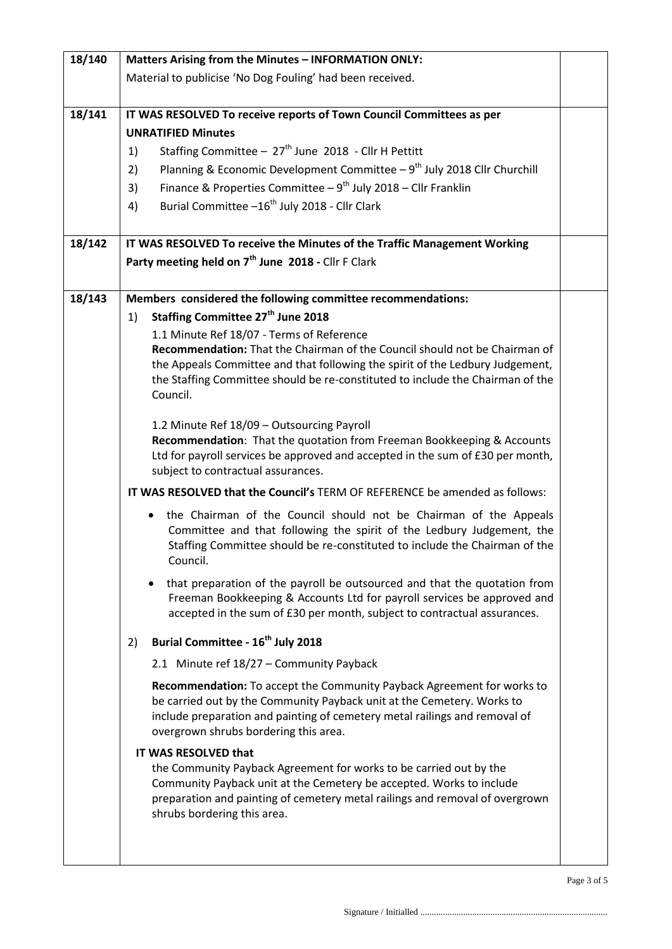| 18/140 | Matters Arising from the Minutes - INFORMATION ONLY:                                                                                                |  |
|--------|-----------------------------------------------------------------------------------------------------------------------------------------------------|--|
|        | Material to publicise 'No Dog Fouling' had been received.                                                                                           |  |
|        |                                                                                                                                                     |  |
| 18/141 | IT WAS RESOLVED To receive reports of Town Council Committees as per                                                                                |  |
|        | <b>UNRATIFIED Minutes</b>                                                                                                                           |  |
|        | Staffing Committee - 27 <sup>th</sup> June 2018 - Cllr H Pettitt<br>1)                                                                              |  |
|        | Planning & Economic Development Committee - 9 <sup>th</sup> July 2018 Cllr Churchill<br>2)                                                          |  |
|        | Finance & Properties Committee $-9^{th}$ July 2018 - Cllr Franklin<br>3)                                                                            |  |
|        | Burial Committee -16 <sup>th</sup> July 2018 - Cllr Clark<br>4)                                                                                     |  |
|        |                                                                                                                                                     |  |
| 18/142 | IT WAS RESOLVED To receive the Minutes of the Traffic Management Working                                                                            |  |
|        | Party meeting held on 7 <sup>th</sup> June 2018 - Cllr F Clark                                                                                      |  |
|        |                                                                                                                                                     |  |
| 18/143 | Members considered the following committee recommendations:                                                                                         |  |
|        | Staffing Committee 27 <sup>th</sup> June 2018<br>1)                                                                                                 |  |
|        | 1.1 Minute Ref 18/07 - Terms of Reference                                                                                                           |  |
|        | Recommendation: That the Chairman of the Council should not be Chairman of                                                                          |  |
|        | the Appeals Committee and that following the spirit of the Ledbury Judgement,                                                                       |  |
|        | the Staffing Committee should be re-constituted to include the Chairman of the                                                                      |  |
|        | Council.                                                                                                                                            |  |
|        | 1.2 Minute Ref 18/09 - Outsourcing Payroll                                                                                                          |  |
|        | Recommendation: That the quotation from Freeman Bookkeeping & Accounts                                                                              |  |
|        | Ltd for payroll services be approved and accepted in the sum of £30 per month,                                                                      |  |
|        | subject to contractual assurances.                                                                                                                  |  |
|        | IT WAS RESOLVED that the Council's TERM OF REFERENCE be amended as follows:                                                                         |  |
|        | the Chairman of the Council should not be Chairman of the Appeals                                                                                   |  |
|        | Committee and that following the spirit of the Ledbury Judgement, the                                                                               |  |
|        | Staffing Committee should be re-constituted to include the Chairman of the<br>Council.                                                              |  |
|        |                                                                                                                                                     |  |
|        | that preparation of the payroll be outsourced and that the quotation from                                                                           |  |
|        | Freeman Bookkeeping & Accounts Ltd for payroll services be approved and<br>accepted in the sum of £30 per month, subject to contractual assurances. |  |
|        |                                                                                                                                                     |  |
|        | Burial Committee - 16 <sup>th</sup> July 2018<br>2)                                                                                                 |  |
|        | 2.1 Minute ref 18/27 - Community Payback                                                                                                            |  |
|        | Recommendation: To accept the Community Payback Agreement for works to                                                                              |  |
|        | be carried out by the Community Payback unit at the Cemetery. Works to                                                                              |  |
|        | include preparation and painting of cemetery metal railings and removal of                                                                          |  |
|        | overgrown shrubs bordering this area.                                                                                                               |  |
|        | IT WAS RESOLVED that                                                                                                                                |  |
|        | the Community Payback Agreement for works to be carried out by the<br>Community Payback unit at the Cemetery be accepted. Works to include          |  |
|        | preparation and painting of cemetery metal railings and removal of overgrown                                                                        |  |
|        | shrubs bordering this area.                                                                                                                         |  |
|        |                                                                                                                                                     |  |
|        |                                                                                                                                                     |  |
|        |                                                                                                                                                     |  |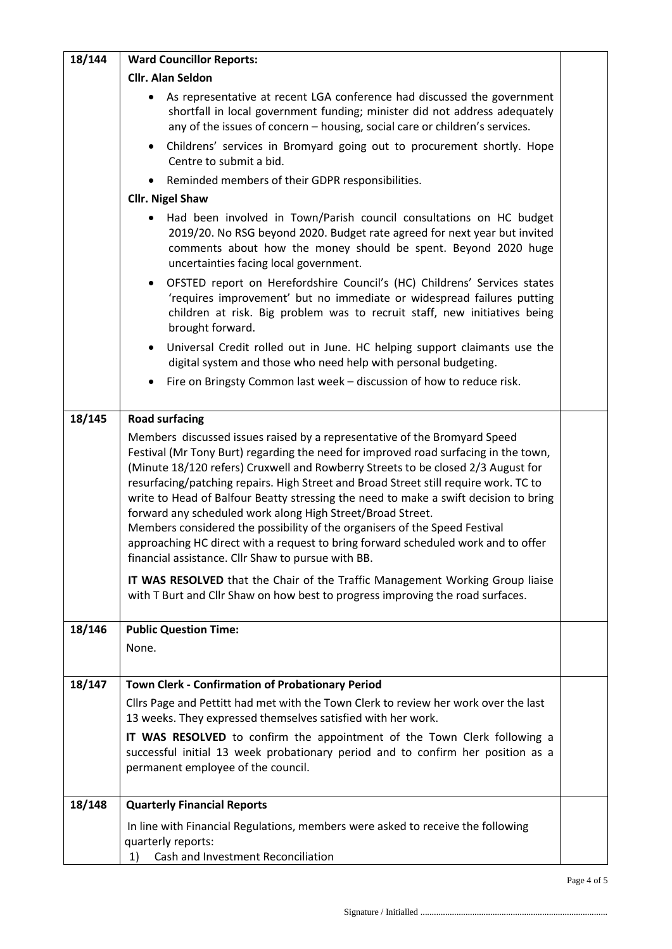| 18/144 | <b>Ward Councillor Reports:</b>                                                                                                                                                                                                                                                                                                                                                                                                                                                                                                                                                                                                                                                                                             |  |
|--------|-----------------------------------------------------------------------------------------------------------------------------------------------------------------------------------------------------------------------------------------------------------------------------------------------------------------------------------------------------------------------------------------------------------------------------------------------------------------------------------------------------------------------------------------------------------------------------------------------------------------------------------------------------------------------------------------------------------------------------|--|
|        | <b>Cllr. Alan Seldon</b>                                                                                                                                                                                                                                                                                                                                                                                                                                                                                                                                                                                                                                                                                                    |  |
|        | As representative at recent LGA conference had discussed the government<br>shortfall in local government funding; minister did not address adequately<br>any of the issues of concern - housing, social care or children's services.                                                                                                                                                                                                                                                                                                                                                                                                                                                                                        |  |
|        | Childrens' services in Bromyard going out to procurement shortly. Hope<br>Centre to submit a bid.                                                                                                                                                                                                                                                                                                                                                                                                                                                                                                                                                                                                                           |  |
|        | Reminded members of their GDPR responsibilities.                                                                                                                                                                                                                                                                                                                                                                                                                                                                                                                                                                                                                                                                            |  |
|        | <b>Cllr. Nigel Shaw</b>                                                                                                                                                                                                                                                                                                                                                                                                                                                                                                                                                                                                                                                                                                     |  |
|        | Had been involved in Town/Parish council consultations on HC budget<br>2019/20. No RSG beyond 2020. Budget rate agreed for next year but invited<br>comments about how the money should be spent. Beyond 2020 huge<br>uncertainties facing local government.                                                                                                                                                                                                                                                                                                                                                                                                                                                                |  |
|        | OFSTED report on Herefordshire Council's (HC) Childrens' Services states<br>'requires improvement' but no immediate or widespread failures putting<br>children at risk. Big problem was to recruit staff, new initiatives being<br>brought forward.                                                                                                                                                                                                                                                                                                                                                                                                                                                                         |  |
|        | Universal Credit rolled out in June. HC helping support claimants use the<br>$\bullet$<br>digital system and those who need help with personal budgeting.                                                                                                                                                                                                                                                                                                                                                                                                                                                                                                                                                                   |  |
|        | Fire on Bringsty Common last week - discussion of how to reduce risk.                                                                                                                                                                                                                                                                                                                                                                                                                                                                                                                                                                                                                                                       |  |
| 18/145 | <b>Road surfacing</b>                                                                                                                                                                                                                                                                                                                                                                                                                                                                                                                                                                                                                                                                                                       |  |
|        | Members discussed issues raised by a representative of the Bromyard Speed<br>Festival (Mr Tony Burt) regarding the need for improved road surfacing in the town,<br>(Minute 18/120 refers) Cruxwell and Rowberry Streets to be closed 2/3 August for<br>resurfacing/patching repairs. High Street and Broad Street still require work. TC to<br>write to Head of Balfour Beatty stressing the need to make a swift decision to bring<br>forward any scheduled work along High Street/Broad Street.<br>Members considered the possibility of the organisers of the Speed Festival<br>approaching HC direct with a request to bring forward scheduled work and to offer<br>financial assistance. Cllr Shaw to pursue with BB. |  |
|        | IT WAS RESOLVED that the Chair of the Traffic Management Working Group liaise<br>with T Burt and Cllr Shaw on how best to progress improving the road surfaces.                                                                                                                                                                                                                                                                                                                                                                                                                                                                                                                                                             |  |
| 18/146 | <b>Public Question Time:</b>                                                                                                                                                                                                                                                                                                                                                                                                                                                                                                                                                                                                                                                                                                |  |
|        | None.                                                                                                                                                                                                                                                                                                                                                                                                                                                                                                                                                                                                                                                                                                                       |  |
| 18/147 | Town Clerk - Confirmation of Probationary Period                                                                                                                                                                                                                                                                                                                                                                                                                                                                                                                                                                                                                                                                            |  |
|        | Cllrs Page and Pettitt had met with the Town Clerk to review her work over the last<br>13 weeks. They expressed themselves satisfied with her work.                                                                                                                                                                                                                                                                                                                                                                                                                                                                                                                                                                         |  |
|        | IT WAS RESOLVED to confirm the appointment of the Town Clerk following a<br>successful initial 13 week probationary period and to confirm her position as a<br>permanent employee of the council.                                                                                                                                                                                                                                                                                                                                                                                                                                                                                                                           |  |
| 18/148 | <b>Quarterly Financial Reports</b>                                                                                                                                                                                                                                                                                                                                                                                                                                                                                                                                                                                                                                                                                          |  |
|        | In line with Financial Regulations, members were asked to receive the following<br>quarterly reports:<br>Cash and Investment Reconciliation<br>1)                                                                                                                                                                                                                                                                                                                                                                                                                                                                                                                                                                           |  |
|        |                                                                                                                                                                                                                                                                                                                                                                                                                                                                                                                                                                                                                                                                                                                             |  |

Page 4 of 5